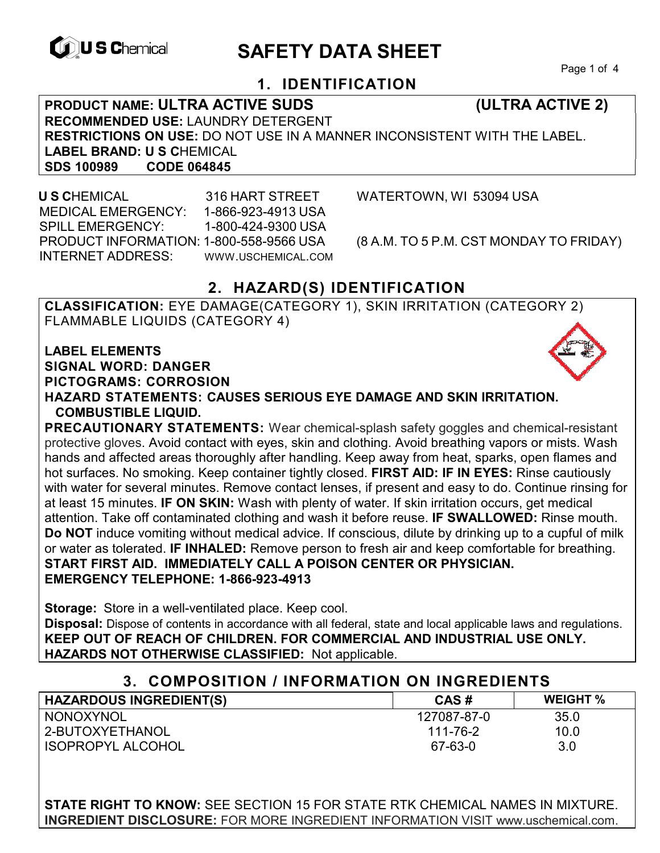

# **EXAGREM** SAFETY DATA SHEET

Page 1 of 4

## **1. IDENTIFICATION**

**PRODUCT NAME: ULTRA ACTIVE SUDS (ULTRA ACTIVE 2) RECOMMENDED USE:** LAUNDRY DETERGENT **RESTRICTIONS ON USE:** DO NOT USE IN A MANNER INCONSISTENT WITH THE LABEL. **LABEL BRAND: U S C**HEMICAL **SDS 100989 CODE 064845** 

 **U S C**HEMICAL 316 HART STREET WATERTOWN, WI 53094 USA MEDICAL EMERGENCY: 1-866-923-4913 USA SPILL EMERGENCY: 1-800-424-9300 USA PRODUCT INFORMATION: 1-800-558-9566 USA (8 A.M. TO 5 P.M. CST MONDAY TO FRIDAY) INTERNET ADDRESS: WWW.USCHEMICAL.COM

## **2. HAZARD(S) IDENTIFICATION**

**CLASSIFICATION:** EYE DAMAGE(CATEGORY 1), SKIN IRRITATION (CATEGORY 2) FLAMMABLE LIQUIDS (CATEGORY 4)

**LABEL ELEMENTS SIGNAL WORD: DANGER PICTOGRAMS: CORROSION**

**HAZARD STATEMENTS: CAUSES SERIOUS EYE DAMAGE AND SKIN IRRITATION. COMBUSTIBLE LIQUID.** 

**PRECAUTIONARY STATEMENTS:** Wear chemical-splash safety goggles and chemical-resistant protective gloves. Avoid contact with eyes, skin and clothing. Avoid breathing vapors or mists. Wash hands and affected areas thoroughly after handling. Keep away from heat, sparks, open flames and hot surfaces. No smoking. Keep container tightly closed. **FIRST AID: IF IN EYES:** Rinse cautiously with water for several minutes. Remove contact lenses, if present and easy to do. Continue rinsing for at least 15 minutes. **IF ON SKIN:** Wash with plenty of water. If skin irritation occurs, get medical attention. Take off contaminated clothing and wash it before reuse. **IF SWALLOWED:** Rinse mouth. **Do NOT** induce vomiting without medical advice. If conscious, dilute by drinking up to a cupful of milk or water as tolerated. **IF INHALED:** Remove person to fresh air and keep comfortable for breathing. **START FIRST AID. IMMEDIATELY CALL A POISON CENTER OR PHYSICIAN. EMERGENCY TELEPHONE: 1-866-923-4913**

**Storage:** Store in a well-ventilated place. Keep cool. **Disposal:** Dispose of contents in accordance with all federal, state and local applicable laws and regulations. **KEEP OUT OF REACH OF CHILDREN. FOR COMMERCIAL AND INDUSTRIAL USE ONLY. HAZARDS NOT OTHERWISE CLASSIFIED:** Not applicable.

| 3. COMPOSITION / INFORMATION ON INGREDIENTS |             |                 |  |
|---------------------------------------------|-------------|-----------------|--|
| <b>HAZARDOUS INGREDIENT(S)</b>              | CAS#        | <b>WEIGHT %</b> |  |
| NONOXYNOL                                   | 127087-87-0 | 35.0            |  |
| 2-BUTOXYETHANOL                             | 111-76-2    | 10.0            |  |
| ISOPROPYL ALCOHOL                           | 67-63-0     | 3.0             |  |

**STATE RIGHT TO KNOW:** SEE SECTION 15 FOR STATE RTK CHEMICAL NAMES IN MIXTURE. **INGREDIENT DISCLOSURE:** FOR MORE INGREDIENT INFORMATION VISIT www.uschemical.com.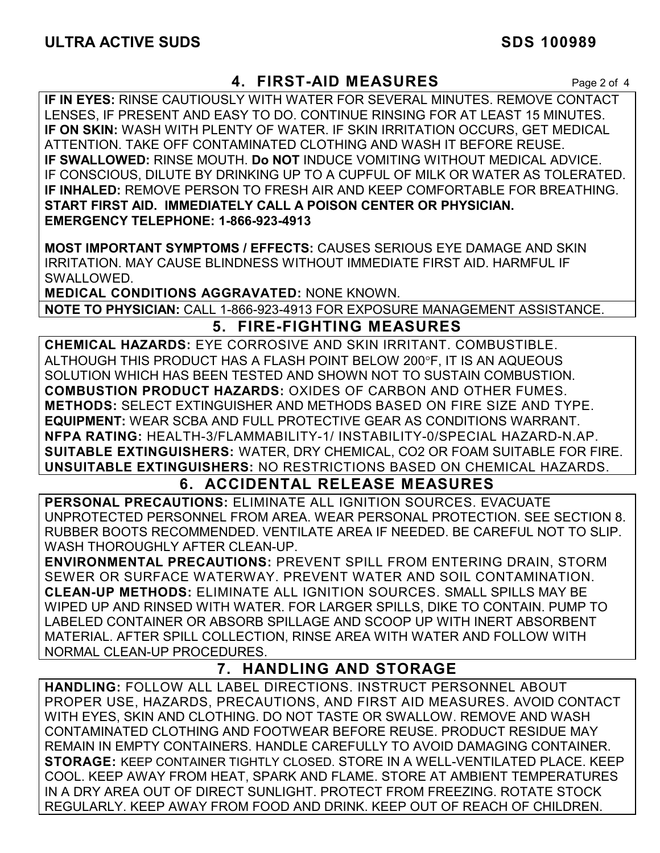## **4. FIRST-AID MEASURES** Page 2 of 4

**IF IN EYES:** RINSE CAUTIOUSLY WITH WATER FOR SEVERAL MINUTES. REMOVE CONTACT LENSES, IF PRESENT AND EASY TO DO. CONTINUE RINSING FOR AT LEAST 15 MINUTES. **IF ON SKIN:** WASH WITH PLENTY OF WATER. IF SKIN IRRITATION OCCURS, GET MEDICAL ATTENTION. TAKE OFF CONTAMINATED CLOTHING AND WASH IT BEFORE REUSE. **IF SWALLOWED:** RINSE MOUTH. **Do NOT** INDUCE VOMITING WITHOUT MEDICAL ADVICE. IF CONSCIOUS, DILUTE BY DRINKING UP TO A CUPFUL OF MILK OR WATER AS TOLERATED. **IF INHALED:** REMOVE PERSON TO FRESH AIR AND KEEP COMFORTABLE FOR BREATHING. **START FIRST AID. IMMEDIATELY CALL A POISON CENTER OR PHYSICIAN. EMERGENCY TELEPHONE: 1-866-923-4913**

**MOST IMPORTANT SYMPTOMS / EFFECTS:** CAUSES SERIOUS EYE DAMAGE AND SKIN IRRITATION. MAY CAUSE BLINDNESS WITHOUT IMMEDIATE FIRST AID. HARMFUL IF SWALLOWED.

**MEDICAL CONDITIONS AGGRAVATED:** NONE KNOWN.

**NOTE TO PHYSICIAN:** CALL 1-866-923-4913 FOR EXPOSURE MANAGEMENT ASSISTANCE.

## **5. FIRE-FIGHTING MEASURES**

**CHEMICAL HAZARDS:** EYE CORROSIVE AND SKIN IRRITANT. COMBUSTIBLE. ALTHOUGH THIS PRODUCT HAS A FLASH POINT BELOW 200°F. IT IS AN AQUEOUS SOLUTION WHICH HAS BEEN TESTED AND SHOWN NOT TO SUSTAIN COMBUSTION. **COMBUSTION PRODUCT HAZARDS:** OXIDES OF CARBON AND OTHER FUMES. **METHODS:** SELECT EXTINGUISHER AND METHODS BASED ON FIRE SIZE AND TYPE. **EQUIPMENT:** WEAR SCBA AND FULL PROTECTIVE GEAR AS CONDITIONS WARRANT. **NFPA RATING:** HEALTH-3/FLAMMABILITY-1/ INSTABILITY-0/SPECIAL HAZARD-N.AP. **SUITABLE EXTINGUISHERS:** WATER, DRY CHEMICAL, CO2 OR FOAM SUITABLE FOR FIRE. **UNSUITABLE EXTINGUISHERS:** NO RESTRICTIONS BASED ON CHEMICAL HAZARDS.

## **6. ACCIDENTAL RELEASE MEASURES**

**PERSONAL PRECAUTIONS:** ELIMINATE ALL IGNITION SOURCES. EVACUATE UNPROTECTED PERSONNEL FROM AREA. WEAR PERSONAL PROTECTION. SEE SECTION 8. RUBBER BOOTS RECOMMENDED. VENTILATE AREA IF NEEDED. BE CAREFUL NOT TO SLIP. WASH THOROUGHLY AFTER CLEAN-UP.

**ENVIRONMENTAL PRECAUTIONS:** PREVENT SPILL FROM ENTERING DRAIN, STORM SEWER OR SURFACE WATERWAY. PREVENT WATER AND SOIL CONTAMINATION. **CLEAN-UP METHODS:** ELIMINATE ALL IGNITION SOURCES. SMALL SPILLS MAY BE WIPED UP AND RINSED WITH WATER. FOR LARGER SPILLS, DIKE TO CONTAIN. PUMP TO LABELED CONTAINER OR ABSORB SPILLAGE AND SCOOP UP WITH INERT ABSORBENT MATERIAL. AFTER SPILL COLLECTION, RINSE AREA WITH WATER AND FOLLOW WITH NORMAL CLEAN-UP PROCEDURES.

## **7. HANDLING AND STORAGE**

**HANDLING:** FOLLOW ALL LABEL DIRECTIONS. INSTRUCT PERSONNEL ABOUT PROPER USE, HAZARDS, PRECAUTIONS, AND FIRST AID MEASURES. AVOID CONTACT WITH EYES, SKIN AND CLOTHING. DO NOT TASTE OR SWALLOW. REMOVE AND WASH CONTAMINATED CLOTHING AND FOOTWEAR BEFORE REUSE. PRODUCT RESIDUE MAY REMAIN IN EMPTY CONTAINERS. HANDLE CAREFULLY TO AVOID DAMAGING CONTAINER. **STORAGE:** KEEP CONTAINER TIGHTLY CLOSED. STORE IN A WELL-VENTILATED PLACE. KEEP COOL. KEEP AWAY FROM HEAT, SPARK AND FLAME. STORE AT AMBIENT TEMPERATURES IN A DRY AREA OUT OF DIRECT SUNLIGHT. PROTECT FROM FREEZING. ROTATE STOCK REGULARLY. KEEP AWAY FROM FOOD AND DRINK. KEEP OUT OF REACH OF CHILDREN.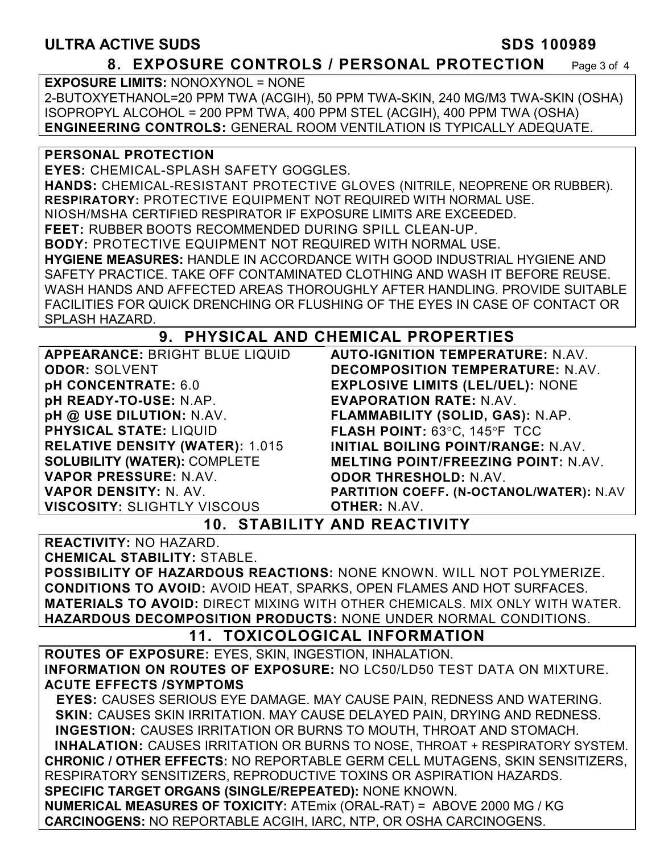## ULTRA ACTIVE SUDS **SDS 100989**

#### **8. EXPOSURE CONTROLS / PERSONAL PROTECTION** Page 3 of 4

**EXPOSURE LIMITS:** NONOXYNOL = NONE 2-BUTOXYETHANOL=20 PPM TWA (ACGIH), 50 PPM TWA-SKIN, 240 MG/M3 TWA-SKIN (OSHA) ISOPROPYL ALCOHOL = 200 PPM TWA, 400 PPM STEL (ACGIH), 400 PPM TWA (OSHA) **ENGINEERING CONTROLS:** GENERAL ROOM VENTILATION IS TYPICALLY ADEQUATE.

#### **PERSONAL PROTECTION**

**EYES:** CHEMICAL-SPLASH SAFETY GOGGLES. **HANDS:** CHEMICAL-RESISTANT PROTECTIVE GLOVES (NITRILE, NEOPRENE OR RUBBER). **RESPIRATORY:** PROTECTIVE EQUIPMENT NOT REQUIRED WITH NORMAL USE. NIOSH/MSHA CERTIFIED RESPIRATOR IF EXPOSURE LIMITS ARE EXCEEDED. **FEET:** RUBBER BOOTS RECOMMENDED DURING SPILL CLEAN-UP. **BODY:** PROTECTIVE EQUIPMENT NOT REQUIRED WITH NORMAL USE. **HYGIENE MEASURES:** HANDLE IN ACCORDANCE WITH GOOD INDUSTRIAL HYGIENE AND SAFETY PRACTICE. TAKE OFF CONTAMINATED CLOTHING AND WASH IT BEFORE REUSE. WASH HANDS AND AFFECTED AREAS THOROUGHLY AFTER HANDLING. PROVIDE SUITABLE FACILITIES FOR QUICK DRENCHING OR FLUSHING OF THE EYES IN CASE OF CONTACT OR SPLASH HAZARD.

## **9. PHYSICAL AND CHEMICAL PROPERTIES**

**APPEARANCE:** BRIGHT BLUE LIQUID **ODOR:** SOLVENT **pH CONCENTRATE:** 6.0 **pH READY-TO-USE:** N.AP. **pH @ USE DILUTION:** N.AV. **PHYSICAL STATE:** LIQUID **RELATIVE DENSITY (WATER):** 1.015 **SOLUBILITY (WATER):** COMPLETE **VAPOR PRESSURE:** N.AV. **VAPOR DENSITY:** N. AV. **VISCOSITY:** SLIGHTLY VISCOUS

**AUTO-IGNITION TEMPERATURE:** N.AV. **DECOMPOSITION TEMPERATURE:** N.AV. **EXPLOSIVE LIMITS (LEL/UEL):** NONE **EVAPORATION RATE:** N.AV. **FLAMMABILITY (SOLID, GAS):** N.AP. FLASH POINT: 63°C, 145°F TCC **INITIAL BOILING POINT/RANGE:** N.AV. **MELTING POINT/FREEZING POINT:** N.AV. **ODOR THRESHOLD:** N.AV. **PARTITION COEFF. (N-OCTANOL/WATER):** N.AV

**OTHER:** N.AV.

## **10. STABILITY AND REACTIVITY**

**REACTIVITY:** NO HAZARD. **CHEMICAL STABILITY:** STABLE.

**POSSIBILITY OF HAZARDOUS REACTIONS:** NONE KNOWN. WILL NOT POLYMERIZE. **CONDITIONS TO AVOID:** AVOID HEAT, SPARKS, OPEN FLAMES AND HOT SURFACES. **MATERIALS TO AVOID:** DIRECT MIXING WITH OTHER CHEMICALS. MIX ONLY WITH WATER. **HAZARDOUS DECOMPOSITION PRODUCTS:** NONE UNDER NORMAL CONDITIONS.

### **11. TOXICOLOGICAL INFORMATION**

**ROUTES OF EXPOSURE:** EYES, SKIN, INGESTION, INHALATION. **INFORMATION ON ROUTES OF EXPOSURE:** NO LC50/LD50 TEST DATA ON MIXTURE. **ACUTE EFFECTS /SYMPTOMS**

 **EYES:** CAUSES SERIOUS EYE DAMAGE. MAY CAUSE PAIN, REDNESS AND WATERING. **SKIN:** CAUSES SKIN IRRITATION. MAY CAUSE DELAYED PAIN, DRYING AND REDNESS. **INGESTION:** CAUSES IRRITATION OR BURNS TO MOUTH, THROAT AND STOMACH. **INHALATION:** CAUSES IRRITATION OR BURNS TO NOSE, THROAT + RESPIRATORY SYSTEM. **CHRONIC / OTHER EFFECTS:** NO REPORTABLE GERM CELL MUTAGENS, SKIN SENSITIZERS, RESPIRATORY SENSITIZERS, REPRODUCTIVE TOXINS OR ASPIRATION HAZARDS. **SPECIFIC TARGET ORGANS (SINGLE/REPEATED):** NONE KNOWN. **NUMERICAL MEASURES OF TOXICITY:** ATEmix (ORAL-RAT) = ABOVE 2000 MG / KG **CARCINOGENS:** NO REPORTABLE ACGIH, IARC, NTP, OR OSHA CARCINOGENS.